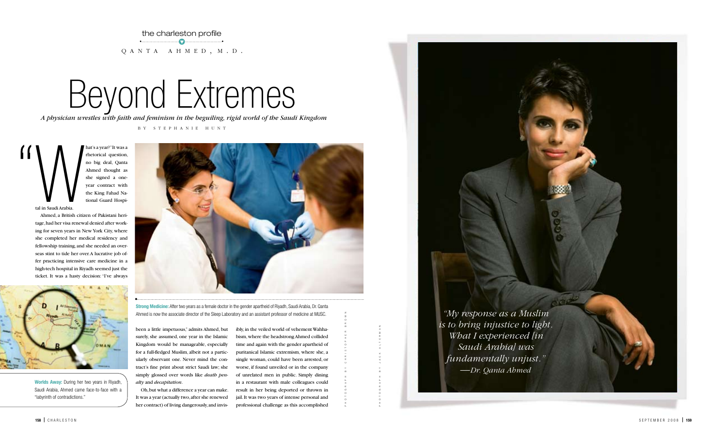# Beyond Extremes

the charleston profile • t •  $Q$  A N T A  $A$  H M E D , M . D .

*A physician wrestles with faith and feminism in the beguiling, rigid world of the Saudi Kingdom* 

hat's a year?" It was a rhetorical question, no big deal, Qanta Ahmed thought as she signed a oneyear contract with the King Fahad National Guard Hospital in Saudi Arabia.  $\sum_{\text{tal in Sandi Arabia}}$ 

b y s t e p h a n i e h u n t

Ahmed, a British citizen of Pakistani heritage, had her visa renewal denied after working for seven years in New York City, where she completed her medical residency and fellowship training, and she needed an overseas stint to tide her over. A lucrative job offer practicing intensive care medicine in a high-tech hospital in Riyadh seemed just the ticket. It was a hasty decision: "I've always



photograph by christopher brown

**Worlds Away:** During her two years in Riyadh, Saudi Arabia, Ahmed came face-to-face with a "labyrinth of contradictions."

*"My response as a Muslim is to bring injustice to light. What I experienced [in Saudi Arabia] was fundamentally unjust." —Dr. Qanta Ahmed*

been a little impetuous," admits Ahmed, but surely, she assumed, one year in the Islamic Kingdom would be manageable, especially for a full-fledged Muslim, albeit not a particularly observant one. Never mind the contract's fine print about strict Saudi law; she simply glossed over words like *death penalty* and *decapitation*.

Oh, but what a difference a year can make. It was a year (actually two, after she renewed her contract) of living dangerously, and invis-

ibly, in the veiled world of vehement Wahhabism, where the headstrong Ahmed collided time and again with the gender apartheid of puritanical Islamic extremism, where she, a single woman, could have been arrested, or worse, if found unveiled or in the company of unrelated men in public. Simply dining in a restaurant with male colleagues could result in her being deported or thrown in jail. It was two years of intense personal and professional challenge as this accomplished

**Strong Medicine:** After two years as a female doctor in the gender apartheid of Riyadh, Saudi Arabia, Dr. Qanta Ahmed is now the associate director of the Sleep Laboratory and an assistant professor of medicine at MUSC.



photograph by jack alterman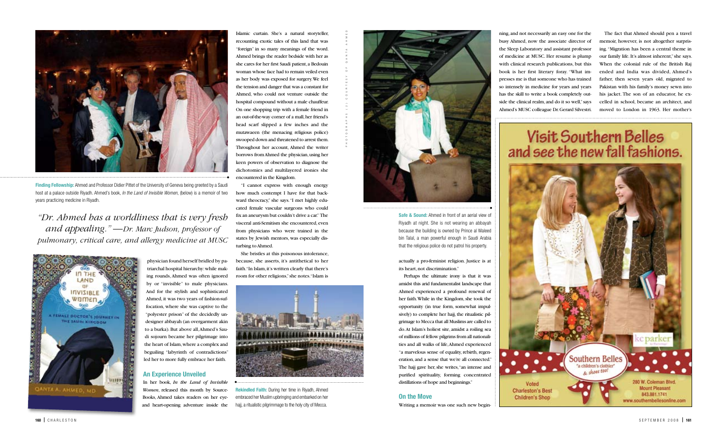physician found herself bridled by patriarchal hospital hierarchy: while making rounds, Ahmed was often ignored by or "invisible" to male physicians. And for the stylish and sophisticated Ahmed, it was two years of fashion-suffocation, where she was captive to the "polyester prison" of the decidedly undesigner abbayah (an overgarment akin to a burka). But above all, Ahmed's Saudi sojourn became her pilgrimage into the heart of Islam, where a complex and beguiling "labyrinth of contradictions" led her to more fully embrace her faith.

#### **An Experience Unveiled**

In her book, *In the Land of Invisible Women*, released this month by Source-Books, Ahmed takes readers on her eyeand heart-opening adventure inside the

Islamic curtain. She's a natural storyteller, recounting exotic tales of this land that was "foreign" in so many meanings of the word. Ahmed brings the reader bedside with her as she cares for her first Saudi patient, a Bedouin woman whose face had to remain veiled even as her body was exposed for surgery. We feel the tension and danger that was a constant for Ahmed, who could not venture outside the hospital compound without a male chauffeur. On one shopping trip with a female friend in an out-of-the-way corner of a mall, her friend's head scarf slipped a few inches and the mutawaeen (the menacing religious police) swooped down and threatened to arrest them. Throughout her account, Ahmed the writer borrows from Ahmed the physician, using her keen powers of observation to diagnose the dichotomies and multilayered ironies she encountered in the Kingdom.

"I cannot express with enough energy how much contempt I have for that backward theocracy," she says. "I met highly educated female vascular surgeons who could fix an aneurysm but couldn't drive a car." The visceral anti-Semitism she encountered, even from physicians who were trained in the states by Jewish mentors, was especially disturbing to Ahmed.

She bristles at this poisonous intolerance, because, she asserts, it's antithetical to her faith. "In Islam, it's written clearly that there's room for other religions," she notes. "Islam is

actually a pro-feminist religion. Justice is at its heart, not discrimination."

Perhaps the ultimate irony is that it was amidst this arid fundamentalist landscape that Ahmed experienced a profound renewal of her faith. While in the Kingdom, she took the opportunity (in true form, somewhat impulsively) to complete her hajj, the ritualistic pilgrimage to Mecca that all Muslims are called to do. At Islam's holiest site, amidst a roiling sea of millions of fellow pilgrims from all nationalities and all walks of life, Ahmed experienced "a marvelous sense of equality, rebirth, regeneration, and a sense that we're all connected." The hajj gave her, she writes, "an intense and purified spirituality, forming concentrated distillations of hope and beginnings."

#### **On the Move**

Writing a memoir was one such new begin-

ning, and not necessarily an easy one for the busy Ahmed, now the associate director of the Sleep Laboratory and assistant professor of medicine at MUSC. Her resume is plump with clinical research publications, but this book is her first literary foray. "What impresses me is that someone who has trained so intensely in medicine for years and years has the skill to write a book completely outside the clinical realm, and do it so well," says Ahmed's MUSC colleague Dr. Gerard Silvestri.

The fact that Ahmed should pen a travel memoir, however, is not altogether surprising. "Migration has been a central theme in our family life. It's almost inherent," she says. When the colonial rule of the British Raj ended and India was divided, Ahmed's father, then seven years old, migrated to Pakistan with his family's money sewn into his jacket. The son of an educator, he excelled in school, became an architect, and moved to London in 1963. Her mother's

# **Visit Southern Belles** and see the new fall fashions.



**Safe & Sound:** Ahmed in front of an aerial view of Riyadh at night. She is not wearing an abbayah because the building is owned by Prince al Waleed bin Talal, a man powerful enough in Saudi Arabia that the religious police do not patrol his property.



**Finding Fellowship:** Ahmed and Professor Didier Pittet of the University of Geneva being greeted by a Saudi host at a palace outside Riyadh. Ahmed's book, *In the Land of Invisible Women*, (below) is a memoir of two years practicing medicine in Riyadh.





**Rekindled Faith:** During her time in Riyadh, Ahmed embraced her Muslim upbringing and embarked on her hajj, a ritualistic pilgrimmage to the holy city of Mecca.

*"Dr. Ahmed has a worldliness that is very fresh and appealing." —Dr. Marc Judson, professor of pulmonary, critical care, and allergy medicine at MUSC*



photographs (2) courtesy of qanta ahmed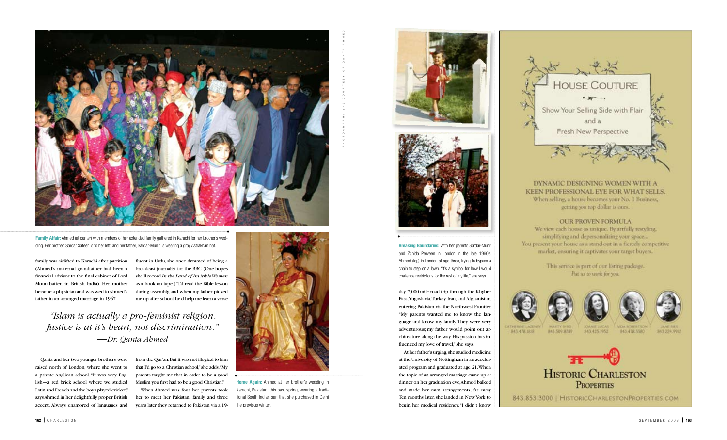family was airlifted to Karachi after partition (Ahmed's maternal grandfather had been a financial advisor to the final cabinet of Lord Mountbatten in British India). Her mother became a physician and was wed to Ahmed's father in an arranged marriage in 1967.

Qanta and her two younger brothers were raised north of London, where she went to a private Anglican school. "It was very English—a red brick school where we studied Latin and French and the boys played cricket," says Ahmed in her delightfully proper British accent. Always enamored of languages and

fluent in Urdu, she once dreamed of being a broadcast journalist for the BBC. (One hopes she'll record *In the Land of Invisible Women* as a book on tape.) "I'd read the Bible lesson during assembly, and when my father picked me up after school, he'd help me learn a verse

from the Qur'an. But it was not illogical to him that I'd go to a Christian school," she adds. "My parents taught me that in order to be a good Muslim you first had to be a good Christian."

When Ahmed was four, her parents took her to meet her Pakistani family, and three years later they returned to Pakistan via a 19-



day, 7,000-mile road trip through the Khyber Pass, Yugoslavia, Turkey, Iran, and Afghanistan, entering Pakistan via the Northwest Frontier. "My parents wanted me to know the language and know my family. They were very adventurous; my father would point out architecture along the way. His passion has influenced my love of travel," she says.

At her father's urging, she studied medicine at the University of Nottingham in an accelerated program and graduated at age 21. When the topic of an arranged marriage came up at dinner on her graduation eve, Ahmed balked and made her own arrangements, far away. Ten months later, she landed in New York to begin her medical residency. "I didn't know





**Breaking Boundaries:** With her parents Sardar-Munir and Zahida Perveen in London in the late 1960s. Ahmed (top) in London at age three, trying to bypass a chain to step on a lawn. "It's a symbol for how I would challenge restrictions for the rest of my life," she says.

•



**Home Again:** Ahmed at her brother's wedding in Karachi, Pakistan, this past spring, wearing a traditional South Indian sari that she purchased in Delhi the previous winter.



**Family Affair:** Ahmed (at center) with members of her extended family gathered in Karachi for her brother's wedding. Her brother, Sardar Safeer, is to her left, and her father, Sardar-Munir, is wearing a gray Astrakhan hat.

# *"Islam is actually a pro-feminist religion. Justice is at it's heart, not discrimination." —Dr. Qanta Ahmed*

photographs (4) courtesy of qanta ahmed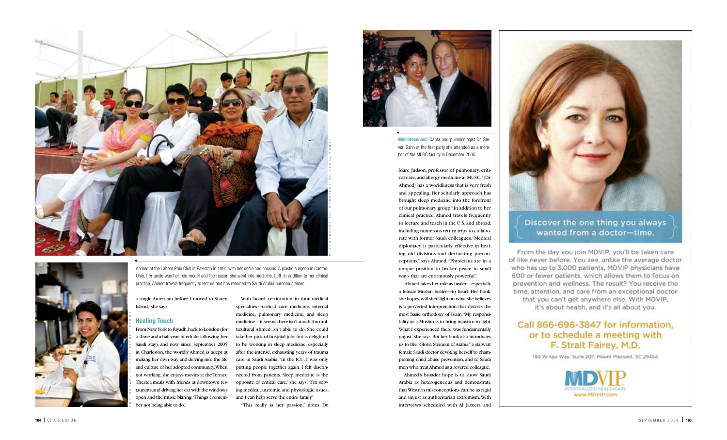With board certification in four medical specialties—critical care medicine, internal medicine, pulmonary medicine, and sleep medicine—it seems there isn't much the multicultural Ahmed isn't able to do. She could take her pick of hospital jobs but is delighted to be working in sleep medicine, especially after the intense, exhausting years of trauma care in Saudi Arabia. "In the ICU, I was only putting people together again. I felt disconnected from patients. Sleep medicine is the opposite of critical care," she says. "I'm solving medical, anatomic, and physiologic issues, and I can help serve the entire family."

Marc Judson, professor of pulmonary, criti cal care, and allergy medicine at MUSC. "[Dr. Ahmed] has a worldliness that is very fresh and appealing. Her scholarly approach has brought sleep medicine into the forefront of our pulmonary group." In addition to her clinical practice, Ahmed travels frequently to lecture and teach in the U.S. and abroad, including numerous return trips to collabo rate with former Saudi colleagues. "Medical diplomacy is particularly effective in heal ing old divisions and decimating precon ceptions," says Ahmed. "Physicians are in a unique position to broker peace in small ways that are enormously powerful." **Example 12**<br> **Example 16**<br> **Example 16**<br> **Example 16**<br> **Example 16** and the first party she attended as a member of the MUSC faculty in December 2005.<br>
Marc Judson, professor of pulmonary, critical care, and allergy medic

"This really is her passion," notes Dr.



a single American before I moved to Staten Island," she says.

#### **Healing Touch**

From New York to Riyadh, back to London (for a three-and-a-half-year interlude following her Saudi stay), and now since September 2005 in Charleston, the worldly Ahmed is adept at making her own way and delving into the life and culture of her adopted community. When not working, she enjoys movies at the Terrace Theater, meals with friends at downtown restaurants, and driving her car with the windows open and the music blaring: "Things I remember not being able to do."

 Ahmed takes her role as healer—especially a female Muslim healer—to heart. Her book, she hopes, will shed light on what she believes is a perverted interpretation that distorts the most basic orthodoxy of Islam. "My responsibility as a Muslim is to bring injustice to light. What I experienced there was fundamentally unjust," she says. But her book also introduces us to the "Gloria Steinem of Arabia," a stalwart female Saudi doctor devoting herself to championing child abuse prevention, and to Saudi men who treat Ahmed as a revered colleague.

Ahmed's broader hope is to show Saudi Arabia as heterogeneous and demonstrate that Western misconceptions can be as rigid and unjust as authoritarian extremism. With



### Discover the one thing you always wanted from a doctor-time.

From the day you join MDVIP, you'll be taken care of like never before. You see, unlike the average doctor who has up to 3,000 patients, MDVIP physicians have 600 or fewer patients, which allows them to focus on prevention and wellness. The result? You receive the time, attention, and care from an exceptional doctor that you can't get anywhere else. With MDVIP, it's about health, and it's all about you.

## Call 866-696-3847 for information, or to schedule a meeting with F. Strait Fairey, M.D.

180 Wingo Way, Suite 207, Mount Pleasant, SC 29464



**Well-Received:** Qanta and pulmonologist Dr. Ste ven Sahn at the first party she attended as a mem ber of the MU SC faculty in December 2005.

Ahmed at the Lahore Polo Club in Pakistan in 1991 with her uncle and cousins. A plastic surgeon in Canton, Ohio, her uncle was her role model and the reason she went into medicine. Left: In addition to her clinical practice, Ahmed travels frequently to lecture and has returned to Saudi Arabia numerous times.

photograph by christopher brown